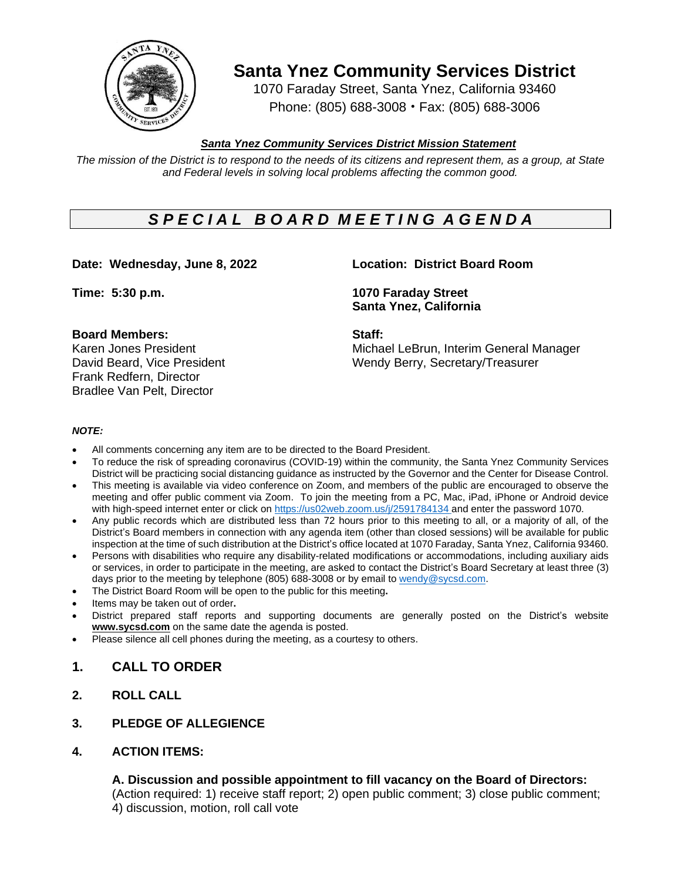

**Santa Ynez Community Services District**

1070 Faraday Street, Santa Ynez, California 93460 Phone: (805) 688-3008 • Fax: (805) 688-3006

## *Santa Ynez Community Services District Mission Statement*

The mission of the District is to respond to the needs of its citizens and represent them, as a group, at State *and Federal levels in solving local problems affecting the common good.*

# *S P E C I A L B O A R D M E E T I N G A G E N D A*

**Date: Wednesday, June 8, 2022 Location: District Board Room**

#### **Board Members: Staff:**

Frank Redfern, Director Bradlee Van Pelt, Director

**Time: 5:30 p.m. 1070 Faraday Street Santa Ynez, California**

Karen Jones President Michael LeBrun, Interim General Manager David Beard, Vice President Wendy Berry, Secretary/Treasurer

#### *NOTE:*

- All comments concerning any item are to be directed to the Board President.
- To reduce the risk of spreading coronavirus (COVID-19) within the community, the Santa Ynez Community Services District will be practicing social distancing guidance as instructed by the Governor and the Center for Disease Control.
- This meeting is available via video conference on Zoom, and members of the public are encouraged to observe the meeting and offer public comment via Zoom. To join the meeting from a PC, Mac, iPad, iPhone or Android device with high-speed internet enter or click on [https://us02web.zoom.us/j/2](https://us02web.zoom.us/j/)591784134 and enter the password 1070.
- Any public records which are distributed less than 72 hours prior to this meeting to all, or a majority of all, of the District's Board members in connection with any agenda item (other than closed sessions) will be available for public inspection at the time of such distribution at the District's office located at 1070 Faraday, Santa Ynez, California 93460.
- Persons with disabilities who require any disability-related modifications or accommodations, including auxiliary aids or services, in order to participate in the meeting, are asked to contact the District's Board Secretary at least three (3) days prior to the meeting by telephone (805) 688-3008 or by email to [wendy@sycsd.com.](mailto:wendy@sycsd.com)
- The District Board Room will be open to the public for this meeting**.**
- Items may be taken out of order**.**
- District prepared staff reports and supporting documents are generally posted on the District's website **[www.sycsd.com](http://www.sycsd.com/)** on the same date the agenda is posted.
- Please silence all cell phones during the meeting, as a courtesy to others.

# **1. CALL TO ORDER**

**2. ROLL CALL**

### **3. PLEDGE OF ALLEGIENCE**

**4. ACTION ITEMS:**

### **A. Discussion and possible appointment to fill vacancy on the Board of Directors:**

(Action required: 1) receive staff report; 2) open public comment; 3) close public comment; 4) discussion, motion, roll call vote